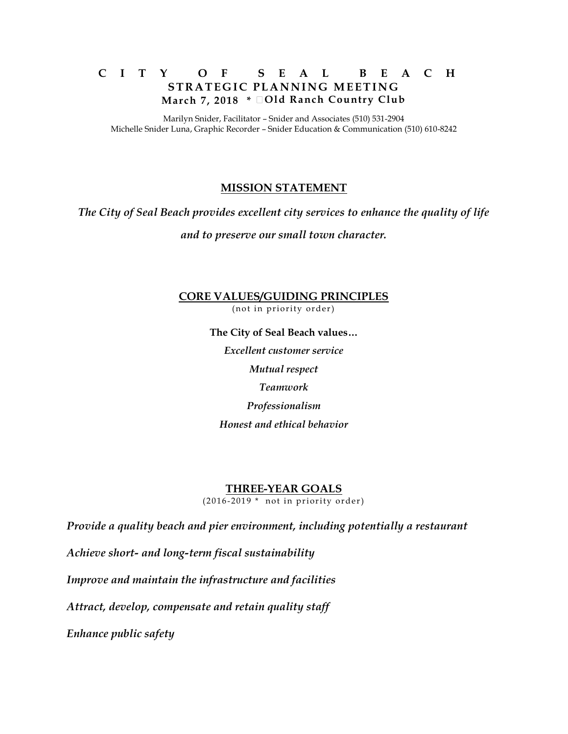## **C I T Y O F S E A L B E A C H STRATEGIC PLANNING MEETING March 7, 2018 \* Old Ranch Country Club**

Marilyn Snider, Facilitator – Snider and Associates (510) 531-2904 Michelle Snider Luna, Graphic Recorder – Snider Education & Communication (510) 610-8242

## **MISSION STATEMENT**

*The City of Seal Beach provides excellent city services to enhance the quality of life* 

*and to preserve our small town character.*

**CORE VALUES/GUIDING PRINCIPLES** (not in priority order)

> **The City of Seal Beach values…** *Excellent customer service Mutual respect Teamwork Professionalism Honest and ethical behavior*

#### **THREE-YEAR GOALS**

 $(2016 - 2019 * not in priority order)$ 

*Provide a quality beach and pier environment, including potentially a restaurant*

*Achieve short- and long-term fiscal sustainability*

*Improve and maintain the infrastructure and facilities*

*Attract, develop, compensate and retain quality staff*

*Enhance public safety*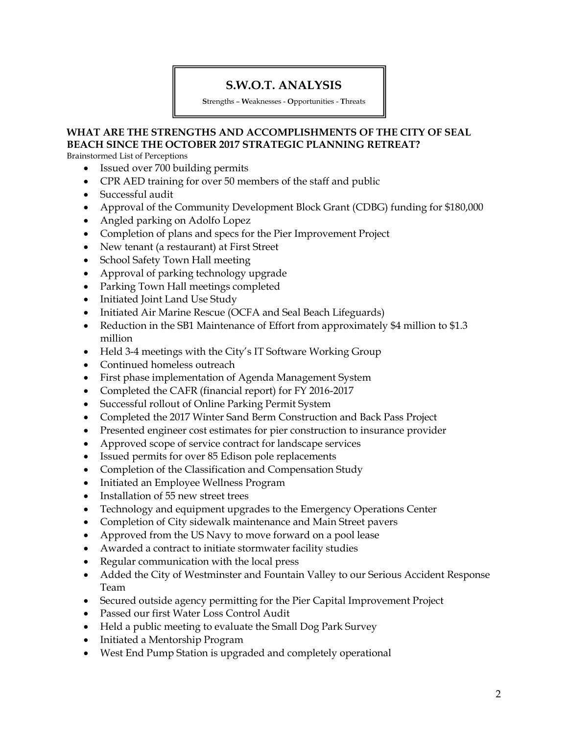## **S.W.O.T. ANALYSIS**

**S**trengths – **W**eaknesses - **O**pportunities - **T**hreats

## **WHAT ARE THE STRENGTHS AND ACCOMPLISHMENTS OF THE CITY OF SEAL BEACH SINCE THE OCTOBER 2017 STRATEGIC PLANNING RETREAT?**

Brainstormed List of Perceptions

- Issued over 700 building permits
- CPR AED training for over 50 members of the staff and public
- Successful audit
- Approval of the Community Development Block Grant (CDBG) funding for \$180,000
- Angled parking on Adolfo Lopez
- Completion of plans and specs for the Pier Improvement Project
- New tenant (a restaurant) at First Street
- School Safety Town Hall meeting
- Approval of parking technology upgrade
- Parking Town Hall meetings completed
- Initiated Joint Land Use Study
- Initiated Air Marine Rescue (OCFA and Seal Beach Lifeguards)
- Reduction in the SB1 Maintenance of Effort from approximately \$4 million to \$1.3 million
- Held 3-4 meetings with the City's IT Software Working Group
- Continued homeless outreach
- First phase implementation of Agenda Management System
- Completed the CAFR (financial report) for FY 2016-2017
- Successful rollout of Online Parking Permit System
- Completed the 2017 Winter Sand Berm Construction and Back Pass Project
- Presented engineer cost estimates for pier construction to insurance provider
- Approved scope of service contract for landscape services
- Issued permits for over 85 Edison pole replacements
- Completion of the Classification and Compensation Study
- Initiated an Employee Wellness Program
- Installation of 55 new street trees
- Technology and equipment upgrades to the Emergency Operations Center
- Completion of City sidewalk maintenance and Main Street pavers
- Approved from the US Navy to move forward on a pool lease
- Awarded a contract to initiate stormwater facility studies
- Regular communication with the local press
- Added the City of Westminster and Fountain Valley to our Serious Accident Response Team
- Secured outside agency permitting for the Pier Capital Improvement Project
- Passed our first Water Loss Control Audit
- Held a public meeting to evaluate the Small Dog Park Survey
- Initiated a Mentorship Program
- West End Pump Station is upgraded and completely operational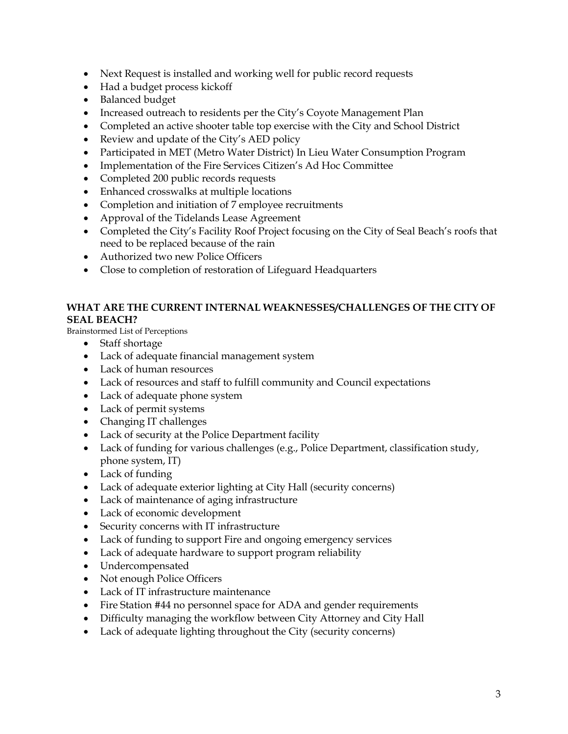- Next Request is installed and working well for public record requests
- Had a budget process kickoff
- Balanced budget
- Increased outreach to residents per the City's Coyote Management Plan
- Completed an active shooter table top exercise with the City and School District
- Review and update of the City's AED policy
- Participated in MET (Metro Water District) In Lieu Water Consumption Program
- Implementation of the Fire Services Citizen's Ad Hoc Committee
- Completed 200 public records requests
- Enhanced crosswalks at multiple locations
- Completion and initiation of 7 employee recruitments
- Approval of the Tidelands Lease Agreement
- Completed the City's Facility Roof Project focusing on the City of Seal Beach's roofs that need to be replaced because of the rain
- Authorized two new Police Officers
- Close to completion of restoration of Lifeguard Headquarters

### **WHAT ARE THE CURRENT INTERNAL WEAKNESSES/CHALLENGES OF THE CITY OF SEAL BEACH?**

Brainstormed List of Perceptions

- Staff shortage
- Lack of adequate financial management system
- Lack of human resources
- Lack of resources and staff to fulfill community and Council expectations
- Lack of adequate phone system
- Lack of permit systems
- Changing IT challenges
- Lack of security at the Police Department facility
- Lack of funding for various challenges (e.g., Police Department, classification study, phone system, IT)
- Lack of funding
- Lack of adequate exterior lighting at City Hall (security concerns)
- Lack of maintenance of aging infrastructure
- Lack of economic development
- Security concerns with IT infrastructure
- Lack of funding to support Fire and ongoing emergency services
- Lack of adequate hardware to support program reliability
- Undercompensated
- Not enough Police Officers
- Lack of IT infrastructure maintenance
- Fire Station #44 no personnel space for ADA and gender requirements
- Difficulty managing the workflow between City Attorney and City Hall
- Lack of adequate lighting throughout the City (security concerns)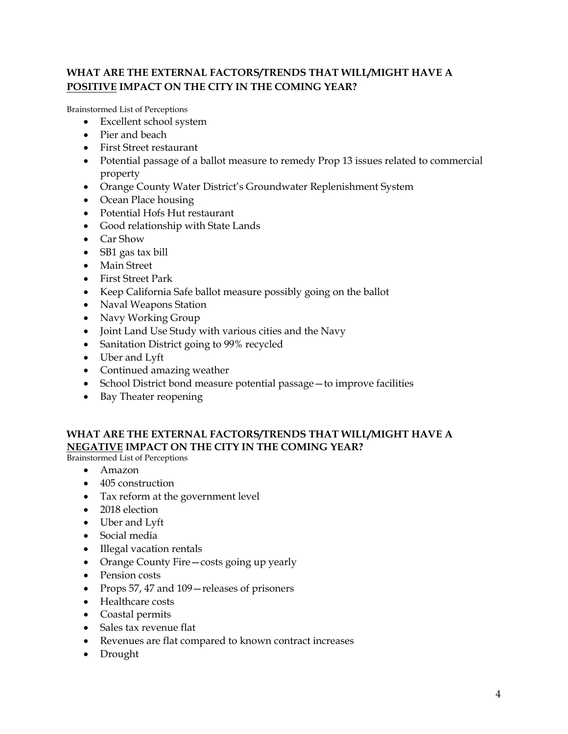## **WHAT ARE THE EXTERNAL FACTORS/TRENDS THAT WILL/MIGHT HAVE A POSITIVE IMPACT ON THE CITY IN THE COMING YEAR?**

Brainstormed List of Perceptions

- Excellent school system
- Pier and beach
- First Street restaurant
- Potential passage of a ballot measure to remedy Prop 13 issues related to commercial property
- Orange County Water District's Groundwater Replenishment System
- Ocean Place housing
- Potential Hofs Hut restaurant
- Good relationship with State Lands
- Car Show
- SB1 gas tax bill
- Main Street
- First Street Park
- Keep California Safe ballot measure possibly going on the ballot
- Naval Weapons Station
- Navy Working Group
- Joint Land Use Study with various cities and the Navy
- Sanitation District going to 99% recycled
- Uber and Lyft
- Continued amazing weather
- School District bond measure potential passage—to improve facilities
- Bay Theater reopening

## **WHAT ARE THE EXTERNAL FACTORS/TRENDS THAT WILL/MIGHT HAVE A NEGATIVE IMPACT ON THE CITY IN THE COMING YEAR?**

Brainstormed List of Perceptions

- Amazon
- 405 construction
- Tax reform at the government level
- 2018 election
- Uber and Lyft
- Social media
- Illegal vacation rentals
- Orange County Fire—costs going up yearly
- Pension costs
- Props 57, 47 and 109 releases of prisoners
- Healthcare costs
- Coastal permits
- Sales tax revenue flat
- Revenues are flat compared to known contract increases
- Drought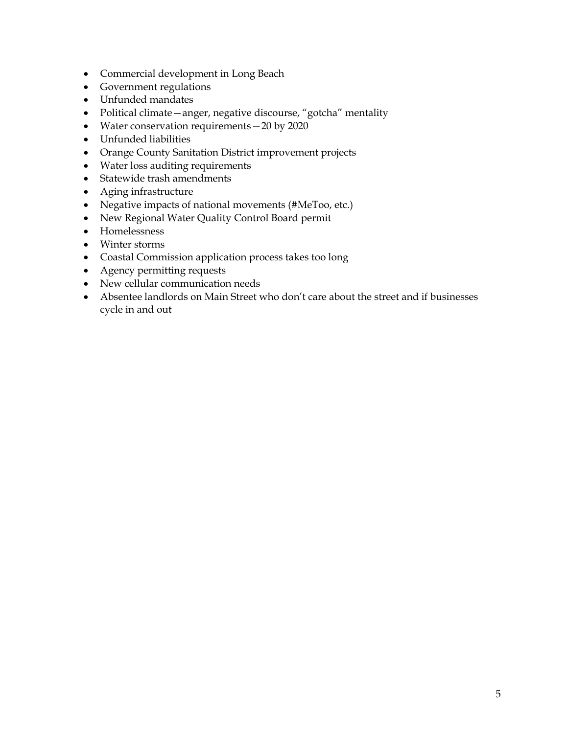- Commercial development in Long Beach
- Government regulations
- Unfunded mandates
- Political climate—anger, negative discourse, "gotcha" mentality
- Water conservation requirements 20 by 2020
- Unfunded liabilities
- Orange County Sanitation District improvement projects
- Water loss auditing requirements
- Statewide trash amendments
- Aging infrastructure
- Negative impacts of national movements (#MeToo, etc.)
- New Regional Water Quality Control Board permit
- Homelessness
- Winter storms
- Coastal Commission application process takes too long
- Agency permitting requests
- New cellular communication needs
- Absentee landlords on Main Street who don't care about the street and if businesses cycle in and out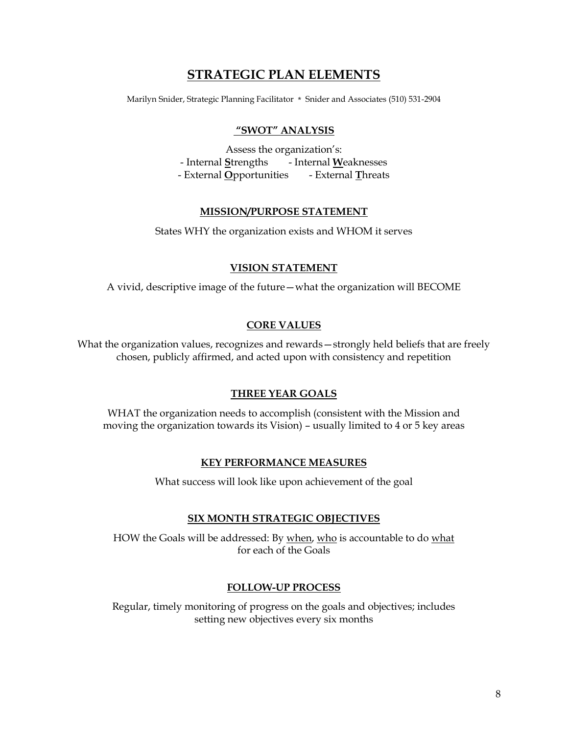# **STRATEGIC PLAN ELEMENTS**

Marilyn Snider, Strategic Planning Facilitator \* Snider and Associates (510) 531-2904

#### **"SWOT" ANALYSIS**

Assess the organization's: - Internal **S**trengths - Internal **W**eaknesses - External **O**pportunities - External **T**hreats

### **MISSION/PURPOSE STATEMENT**

States WHY the organization exists and WHOM it serves

### **VISION STATEMENT**

A vivid, descriptive image of the future—what the organization will BECOME

### **CORE VALUES**

What the organization values, recognizes and rewards—strongly held beliefs that are freely chosen, publicly affirmed, and acted upon with consistency and repetition

#### **THREE YEAR GOALS**

WHAT the organization needs to accomplish (consistent with the Mission and moving the organization towards its Vision) – usually limited to 4 or 5 key areas

#### **KEY PERFORMANCE MEASURES**

What success will look like upon achievement of the goal

#### **SIX MONTH STRATEGIC OBJECTIVES**

HOW the Goals will be addressed: By when, who is accountable to do what for each of the Goals

#### **FOLLOW-UP PROCESS**

Regular, timely monitoring of progress on the goals and objectives; includes setting new objectives every six months